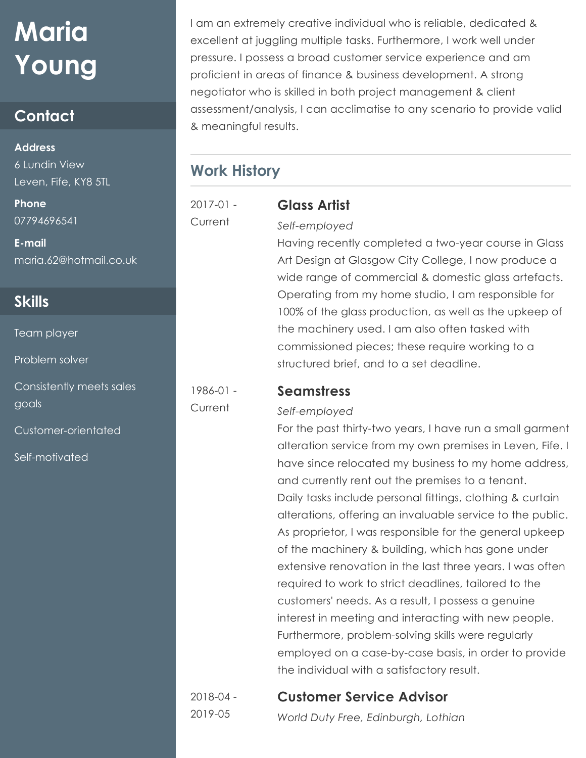# **Maria Young**

# **Contact**

#### **Address**

6 Lundin View Leven, Fife, KY8 5TL

**Phone** 07794696541

**E-mail** maria.62@hotmail.co.uk

# **Skills**

Team player

Problem solver

Consistently meets sales goals

Customer-orientated

Self-motivated

I am an extremely creative individual who is reliable, dedicated & excellent at juggling multiple tasks. Furthermore, I work well under pressure. I possess a broad customer service experience and am proficient in areas of finance & business development. A strong negotiator who is skilled in both project management & client assessment/analysis, I can acclimatise to any scenario to provide valid & meaningful results.

# **Work History**

2017-01 - **Current** 

1986-01 - Current

### **Glass Artist** *Self-employed*

Having recently completed a two-year course in Glass Art Design at Glasgow City College, I now produce a wide range of commercial & domestic glass artefacts. Operating from my home studio, I am responsible for 100% of the glass production, as well as the upkeep of the machinery used. I am also often tasked with commissioned pieces; these require working to a structured brief, and to a set deadline.

#### **Seamstress**

#### *Self-employed*

For the past thirty-two years, I have run a small garment alteration service from my own premises in Leven, Fife. I have since relocated my business to my home address, and currently rent out the premises to a tenant. Daily tasks include personal fittings, clothing & curtain alterations, offering an invaluable service to the public. As proprietor, I was responsible for the general upkeep of the machinery & building, which has gone under extensive renovation in the last three years. I was often required to work to strict deadlines, tailored to the customers' needs. As a result, I possess a genuine interest in meeting and interacting with new people. Furthermore, problem-solving skills were regularly employed on a case-by-case basis, in order to provide the individual with a satisfactory result.

2018-04 - 2019-05

# **Customer Service Advisor**

*World Duty Free, Edinburgh, Lothian*